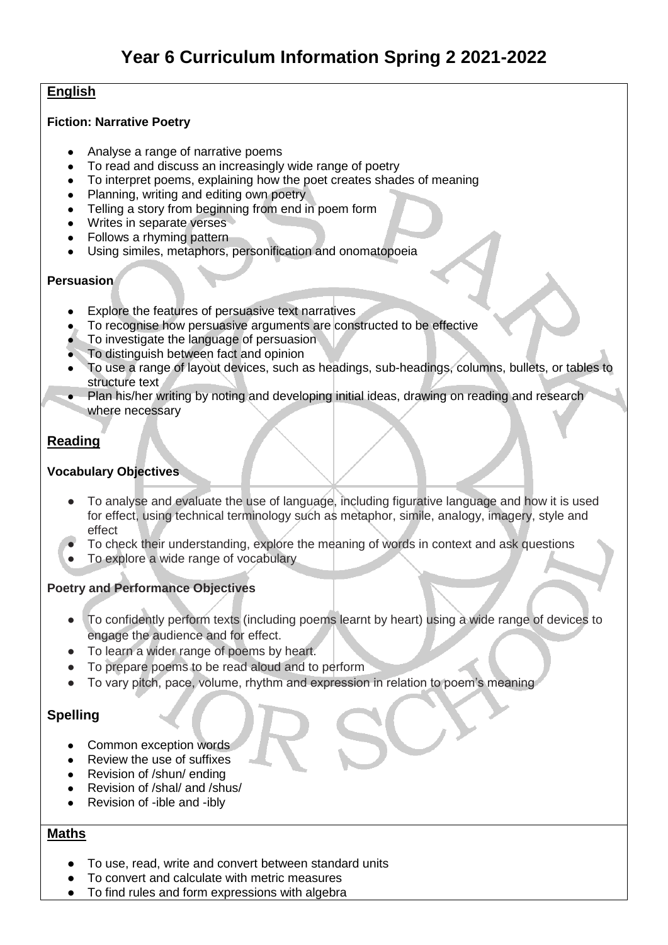## **English**

#### **Fiction: Narrative Poetry**

- Analyse a range of narrative poems
- To read and discuss an increasingly wide range of poetry
- To interpret poems, explaining how the poet creates shades of meaning
- Planning, writing and editing own poetry
- Telling a story from beginning from end in poem form
- Writes in separate verses
- Follows a rhyming pattern
- Using similes, metaphors, personification and onomatopoeia

### **Persuasion**

- Explore the features of persuasive text narratives
- To recognise how persuasive arguments are constructed to be effective
- To investigate the language of persuasion
- To distinguish between fact and opinion
- To use a range of layout devices, such as headings, sub-headings, columns, bullets, or tables to structure text
- Plan his/her writing by noting and developing initial ideas, drawing on reading and research where necessary

### **Reading**

### **Vocabulary Objectives**

- To analyse and evaluate the use of language, including figurative language and how it is used for effect, using technical terminology such as metaphor, simile, analogy, imagery, style and effect
- To check their understanding, explore the meaning of words in context and ask questions
- To explore a wide range of vocabulary

### **Poetry and Performance Objectives**

- To confidently perform texts (including poems learnt by heart) using a wide range of devices to engage the audience and for effect.
- To learn a wider range of poems by heart.
- To prepare poems to be read aloud and to perform
- To vary pitch, pace, volume, rhythm and expression in relation to poem's meaning

# **Spelling**

- Common exception words
- Review the use of suffixes
- Revision of /shun/ ending
- Revision of /shal/ and /shus/
- Revision of -ible and -ibly

### **Maths**

- To use, read, write and convert between standard units
- To convert and calculate with metric measures
- To find rules and form expressions with algebra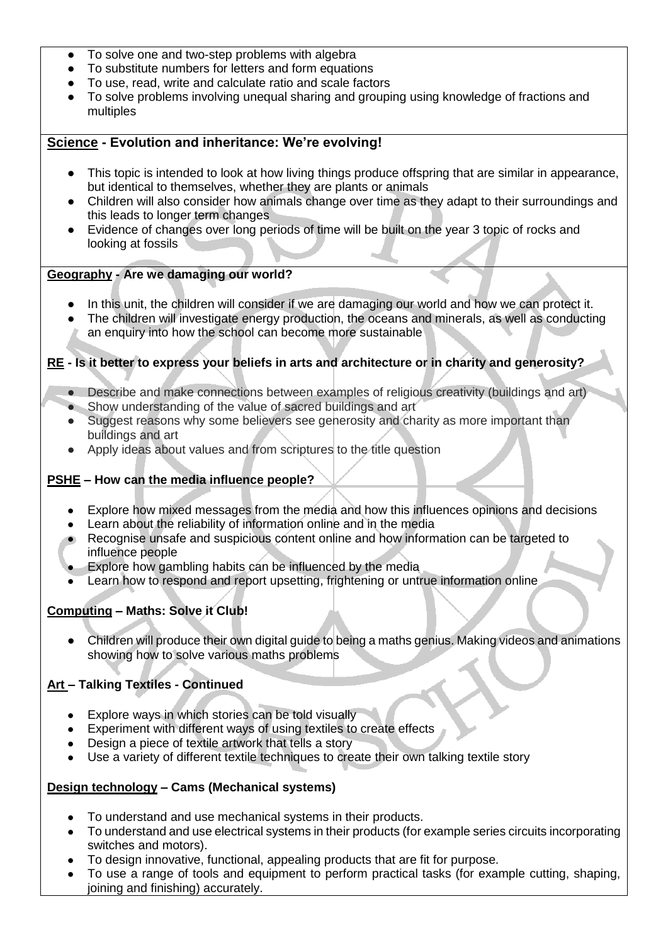- To solve one and two-step problems with algebra
- To substitute numbers for letters and form equations
- To use, read, write and calculate ratio and scale factors
- To solve problems involving unequal sharing and grouping using knowledge of fractions and multiples

### **Science - Evolution and inheritance: We're evolving!**

- This topic is intended to look at how living things produce offspring that are similar in appearance, but identical to themselves, whether they are plants or animals
- Children will also consider how animals change over time as they adapt to their surroundings and this leads to longer term changes
- Evidence of changes over long periods of time will be built on the year 3 topic of rocks and looking at fossils

### **Geography - Are we damaging our world?**

- In this unit, the children will consider if we are damaging our world and how we can protect it.
- The children will investigate energy production, the oceans and minerals, as well as conducting an enquiry into how the school can become more sustainable

### **RE - Is it better to express your beliefs in arts and architecture or in charity and generosity?**

- Describe and make connections between examples of religious creativity (buildings and art)
- Show understanding of the value of sacred buildings and art
- Suggest reasons why some believers see generosity and charity as more important than buildings and art
- Apply ideas about values and from scriptures to the title question

#### **PSHE – How can the media influence people?**

- Explore how mixed messages from the media and how this influences opinions and decisions
- Learn about the reliability of information online and in the media
- Recognise unsafe and suspicious content online and how information can be targeted to influence people
- Explore how gambling habits can be influenced by the media
- Learn how to respond and report upsetting, frightening or untrue information online

### **Computing – Maths: Solve it Club!**

Children will produce their own digital guide to being a maths genius. Making videos and animations showing how to solve various maths problems

### **Art – Talking Textiles - Continued**

- Explore ways in which stories can be told visually
- Experiment with different ways of using textiles to create effects
- Design a piece of textile artwork that tells a story
- Use a variety of different textile techniques to create their own talking textile story

### **Design technology – Cams (Mechanical systems)**

- To understand and use mechanical systems in their products.
- To understand and use electrical systems in their products (for example series circuits incorporating switches and motors).
- To design innovative, functional, appealing products that are fit for purpose.
- To use a range of tools and equipment to perform practical tasks (for example cutting, shaping, joining and finishing) accurately.